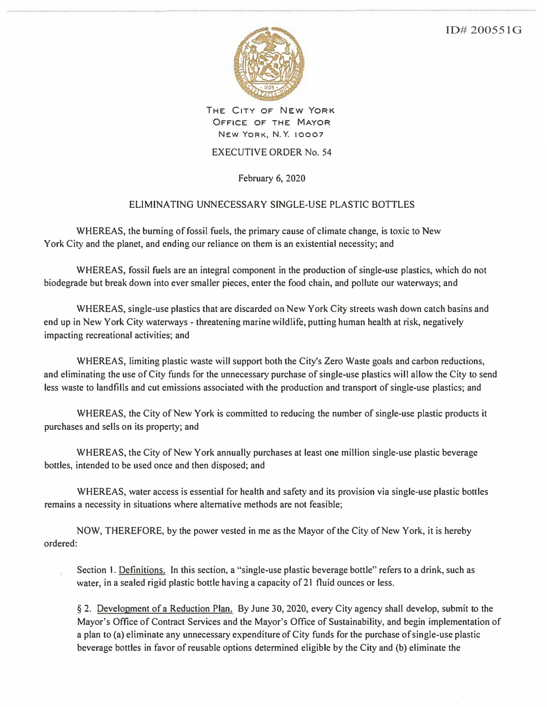ID# 200551G



**THE CITY OF NEW YORK OFFICE OF THE MAYOR NEW YORK, N. Y. 10007** 

## **EXECUTIVE ORDER No. 54**

**February 6, 2020** 

## **ELIMINATING UNNECESSARY SINGLE-USE PLASTIC BOTTLES**

**WHEREAS, the burning of fossil fuels, the primary cause of climate change, is toxic to New York City and the planet, and ending our reliance on them is an existential necessity; and** 

**WHEREAS, fossil fuels are an integral component in the production of single-use plastics, which do not biodegrade but break down into ever smaller pieces, enter the food chain, and pollute our waterways; and** 

**WHEREAS, single-use plastics that are discarded on New York City streets wash down catch basins and end up in New York City waterways - threatening marine wildlife, putting human health at risk, negatively impacting recreational activities; and** 

**WHEREAS, limiting plastic waste will support both the City's Zero Waste goals and carbon reductions, and eliminating the use of City funds for the unnecessary purchase of single-use plastics will allow the City to send less waste to landfills and cut emissions associated with the production and transport of single-use plastics; and** 

**WHEREAS, the City of New York is committed to reducing the number of single-use plastic products it purchases and sells on its property; and** 

**WHEREAS, the City of New York annually purchases at least one million single-use plastic beverage bottles, intended to be used once and then disposed; and** 

**WHEREAS, water access is essential for health and safety and its provision via single-use plastic bottles remains a necessity in situations where alternative methods are not feasible;** 

**NOW, THEREFORE, by the power vested in me as the Mayor of the City of New York, it is hereby ordered:** 

**Section I. Definitions. In this section, a "single-use plastic beverage bottle" refers to a drink, such as water, in a sealed rigid plastic bottle having a capacity of 21 fluid ounces or less.** 

**§ 2. Development of a Reduction Plan. By June 30, 2020, every City agency shall develop, submit to the Mayor's Office of Contract Services and the Mayor's Office of Sustainability, and begin implementation of a plan to (a) eliminate any unnecessary expenditure of City funds for the purchase of single-use plastic beverage bottles in favor of reusable options determined eligible by the City and (b) eliminate the**